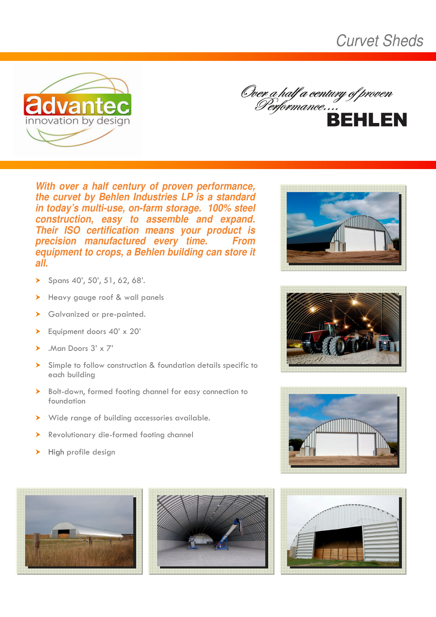**Curvet Sheds** 





With over a half century of proven performance, the curvet by Behlen Industries LP is a standard in today's multi-use, on-farm storage. 100% steel construction, easy to assemble and expand. Their ISO certification means your product is precision manufactured every time. **From** equipment to crops, a Behlen building can store it  $\overline{all}$ .

- Spans 40', 50', 51, 62, 68'.  $\blacktriangleright$
- Heavy gauge roof & wall panels  $\blacktriangleright$
- Galvanized or pre-painted.  $\blacktriangleright$
- Equipment doors 40' x 20'  $\blacktriangleright$
- . Man Doors  $3' \times 7'$
- > Simple to follow construction & foundation details specific to each building
- > Bolt-down, formed footing channel for easy connection to foundation
- > Wide range of building accessories available.
- Revolutionary die-formed footing channel  $\blacktriangleright$
- High profile design  $\blacktriangleright$